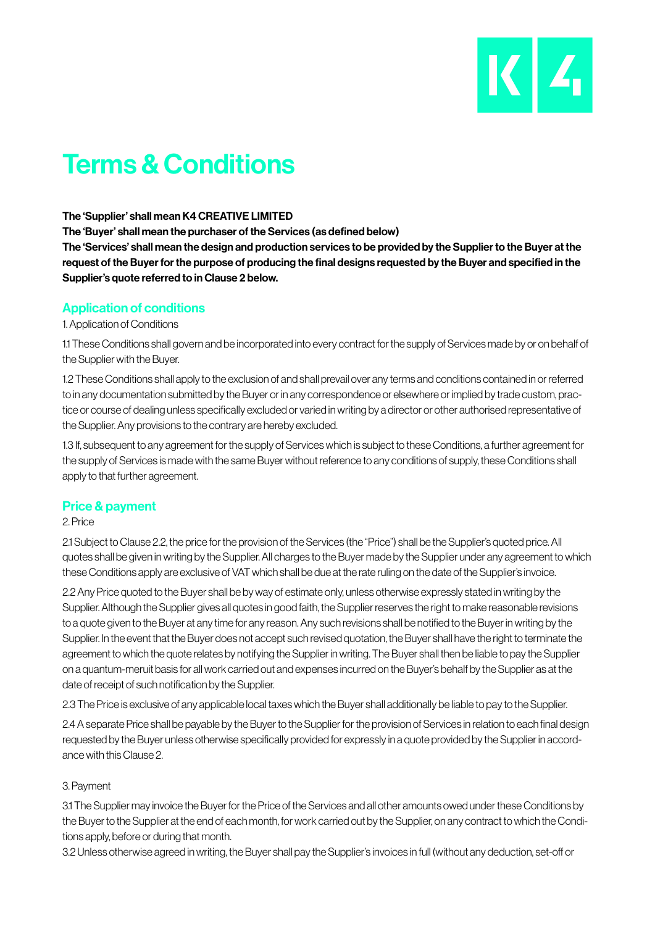

# Terms & Conditions

## The 'Supplier' shall mean K4 CREATIVE LIMITED

The 'Buyer' shall mean the purchaser of the Services (as defined below)

The 'Services' shall mean the design and production services to be provided by the Supplier to the Buyer at the request of the Buyer for the purpose of producing the final designs requested by the Buyer and specified in the Supplier's quote referred to in Clause 2 below.

## Application of conditions

#### 1. Application of Conditions

1.1 These Conditions shall govern and be incorporated into every contract for the supply of Services made by or on behalf of the Supplier with the Buyer.

1.2 These Conditions shall apply to the exclusion of and shall prevail over any terms and conditions contained in or referred to in any documentation submitted by the Buyer or in any correspondence or elsewhere or implied by trade custom, practice or course of dealing unless specifically excluded or varied in writing by a director or other authorised representative of the Supplier. Any provisions to the contrary are hereby excluded.

1.3 If, subsequent to any agreement for the supply of Services which is subject to these Conditions, a further agreement for the supply of Services is made with the same Buyer without reference to any conditions of supply, these Conditions shall apply to that further agreement.

## Price & payment

## 2. Price

2.1 Subject to Clause 2.2, the price for the provision of the Services (the "Price") shall be the Supplier's quoted price. All quotes shall be given in writing by the Supplier. All charges to the Buyer made by the Supplier under any agreement to which these Conditions apply are exclusive of VAT which shall be due at the rate ruling on the date of the Supplier's invoice.

2.2 Any Price quoted to the Buyer shall be by way of estimate only, unless otherwise expressly stated in writing by the Supplier. Although the Supplier gives all quotes in good faith, the Supplier reserves the right to make reasonable revisions to a quote given to the Buyer at any time for any reason. Any such revisions shall be notified to the Buyer in writing by the Supplier. In the event that the Buyer does not accept such revised quotation, the Buyer shall have the right to terminate the agreement to which the quote relates by notifying the Supplier in writing. The Buyer shall then be liable to pay the Supplier on a quantum-meruit basis for all work carried out and expenses incurred on the Buyer's behalf by the Supplier as at the date of receipt of such notification by the Supplier.

2.3 The Price is exclusive of any applicable local taxes which the Buyer shall additionally be liable to pay to the Supplier.

2.4 A separate Price shall be payable by the Buyer to the Supplier for the provision of Services in relation to each final design requested by the Buyer unless otherwise specifically provided for expressly in a quote provided by the Supplier in accordance with this Clause 2.

## 3. Payment

3.1 The Supplier may invoice the Buyer for the Price of the Services and all other amounts owed under these Conditions by the Buyer to the Supplier at the end of each month, for work carried out by the Supplier, on any contract to which the Conditions apply, before or during that month.

3.2 Unless otherwise agreed in writing, the Buyer shall pay the Supplier's invoices in full (without any deduction, set-off or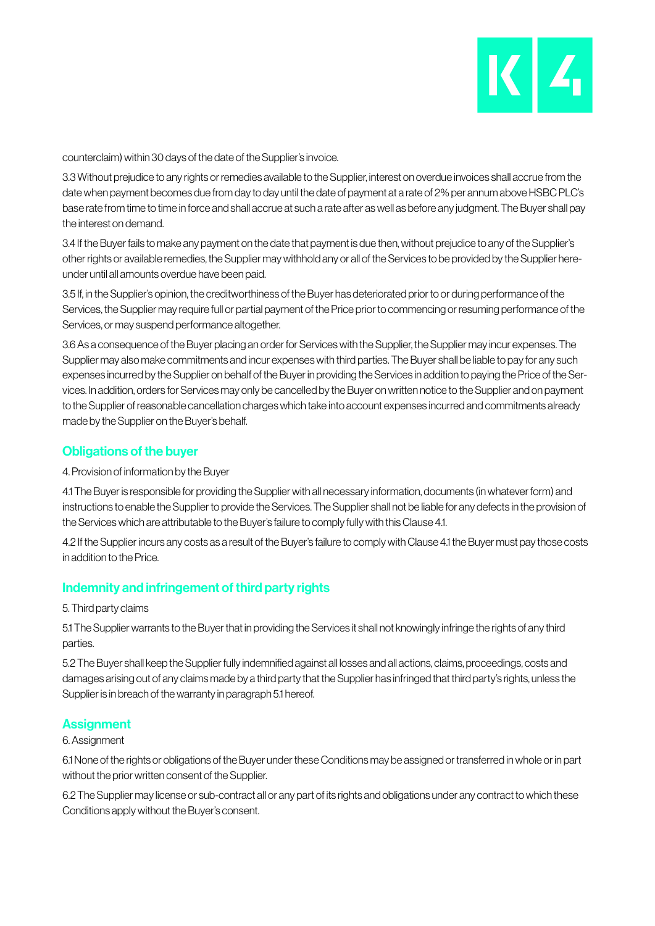

counterclaim) within 30 days of the date of the Supplier's invoice.

3.3 Without prejudice to any rights or remedies available to the Supplier, interest on overdue invoices shall accrue from the date when payment becomes due from day to day until the date of payment at a rate of 2% per annum above HSBC PLC's base rate from time to time in force and shall accrue at such a rate after as well as before any judgment. The Buyer shall pay the interest on demand.

3.4 If the Buyer fails to make any payment on the date that payment is due then, without prejudice to any of the Supplier's other rights or available remedies, the Supplier may withhold any or all of the Services to be provided by the Supplier hereunder until all amounts overdue have been paid.

3.5 If, in the Supplier's opinion, the creditworthiness of the Buyer has deteriorated prior to or during performance of the Services, the Supplier may require full or partial payment of the Price prior to commencing or resuming performance of the Services, or may suspend performance altogether.

3.6 As a consequence of the Buyer placing an order for Services with the Supplier, the Supplier may incur expenses. The Supplier may also make commitments and incur expenses with third parties. The Buyer shall be liable to pay for any such expenses incurred by the Supplier on behalf of the Buyer in providing the Services in addition to paying the Price of the Services. In addition, orders for Services may only be cancelled by the Buyer on written notice to the Supplier and on payment to the Supplier of reasonable cancellation charges which take into account expenses incurred and commitments already made by the Supplier on the Buyer's behalf.

# Obligations of the buyer

## 4. Provision of information by the Buyer

4.1 The Buyer is responsible for providing the Supplier with all necessary information, documents (in whatever form) and instructions to enable the Supplier to provide the Services. The Supplier shall not be liable for any defects in the provision of the Services which are attributable to the Buyer's failure to comply fully with this Clause 4.1.

4.2 If the Supplier incurs any costs as a result of the Buyer's failure to comply with Clause 4.1 the Buyer must pay those costs in addition to the Price.

# Indemnity and infringement of third party rights

#### 5. Third party claims

5.1 The Supplier warrants to the Buyer that in providing the Services it shall not knowingly infringe the rights of any third parties.

5.2 The Buyer shall keep the Supplier fully indemnified against all losses and all actions, claims, proceedings, costs and damages arising out of any claims made by a third party that the Supplier has infringed that third party's rights, unless the Supplier is in breach of the warranty in paragraph 5.1 hereof.

## **Assignment**

## 6. Assignment

6.1 None of the rights or obligations of the Buyer under these Conditions may be assigned or transferred in whole or in part without the prior written consent of the Supplier.

6.2 The Supplier may license or sub-contract all or any part of its rights and obligations under any contract to which these Conditions apply without the Buyer's consent.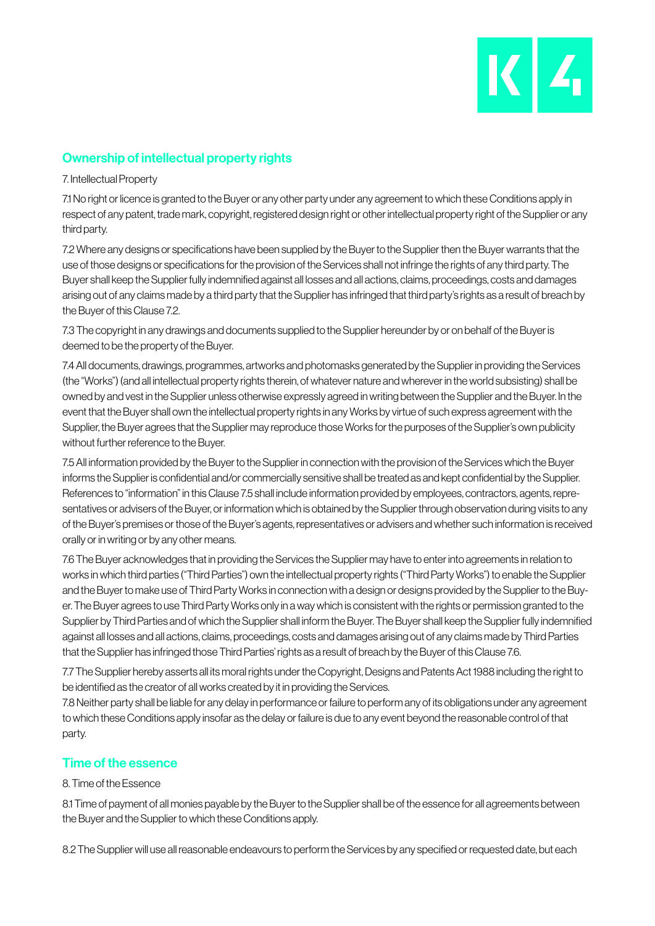

# Ownership of intellectual property rights

7. Intellectual Property

7.1 No right or licence is granted to the Buyer or any other party under any agreement to which these Conditions apply in respect of any patent, trade mark, copyright, registered design right or other intellectual property right of the Supplier or any third party.

7.2 Where any designs or specifications have been supplied by the Buyer to the Supplier then the Buyer warrants that the use of those designs or specifications for the provision of the Services shall not infringe the rights of any third party. The Buyer shall keep the Supplier fully indemnified against all losses and all actions, claims, proceedings, costs and damages arising out of any claims made by a third party that the Supplier has infringed that third party's rights as a result of breach by the Buyer of this Clause 7.2.

7.3 The copyright in any drawings and documents supplied to the Supplier hereunder by or on behalf of the Buyer is deemed to be the property of the Buyer.

7.4 All documents, drawings, programmes, artworks and photomasks generated by the Supplier in providing the Services (the "Works") (and all intellectual property rights therein, of whatever nature and wherever in the world subsisting) shall be owned by and vest in the Supplier unless otherwise expressly agreed in writing between the Supplier and the Buyer. In the event that the Buyer shall own the intellectual property rights in any Works by virtue of such express agreement with the Supplier, the Buyer agrees that the Supplier may reproduce those Works for the purposes of the Supplier's own publicity without further reference to the Buyer.

7.5 All information provided by the Buyer to the Supplier in connection with the provision of the Services which the Buyer informs the Supplier is confidential and/or commercially sensitive shall be treated as and kept confidential by the Supplier. References to "information" in this Clause 7.5 shall include information provided by employees, contractors, agents, representatives or advisers of the Buyer, or information which is obtained by the Supplier through observation during visits to any of the Buyer's premises or those of the Buyer's agents, representatives or advisers and whether such information is received orally or in writing or by any other means.

7.6 The Buyer acknowledges that in providing the Services the Supplier may have to enter into agreements in relation to works in which third parties ("Third Parties") own the intellectual property rights ("Third Party Works") to enable the Supplier and the Buyer to make use of Third Party Works in connection with a design or designs provided by the Supplier to the Buyer. The Buyer agrees to use Third Party Works only in a way which is consistent with the rights or permission granted to the Supplier by Third Parties and of which the Supplier shall inform the Buyer. The Buyer shall keep the Supplier fully indemnified against all losses and all actions, claims, proceedings, costs and damages arising out of any claims made by Third Parties that the Supplier has infringed those Third Parties' rights as a result of breach by the Buyer of this Clause 7.6.

7.7 The Supplier hereby asserts all its moral rights under the Copyright, Designs and Patents Act 1988 including the right to be identified as the creator of all works created by it in providing the Services.

7.8 Neither party shall be liable for any delay in performance or failure to perform any of its obligations under any agreement to which these Conditions apply insofar as the delay or failure is due to any event beyond the reasonable control of that party.

# Time of the essence

## 8. Time of the Essence

8.1 Time of payment of all monies payable by the Buyer to the Supplier shall be of the essence for all agreements between the Buyer and the Supplier to which these Conditions apply.

8.2 The Supplier will use all reasonable endeavours to perform the Services by any specified or requested date, but each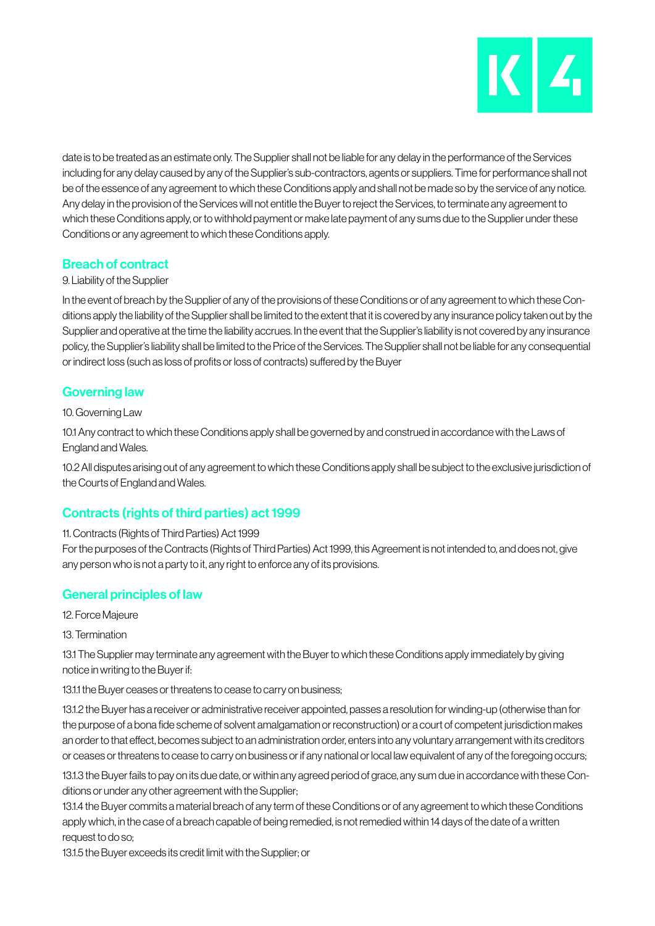

date is to be treated as an estimate only. The Supplier shall not be liable for any delay in the performance of the Services including for any delay caused by any of the Supplier's sub-contractors, agents or suppliers. Time for performance shall not be of the essence of any agreement to which these Conditions apply and shall not be made so by the service of any notice. Any delay in the provision of the Services will not entitle the Buyer to reject the Services, to terminate any agreement to which these Conditions apply, or to withhold payment or make late payment of any sums due to the Supplier under these Conditions or any agreement to which these Conditions apply.

# Breach of contract

## 9. Liability of the Supplier

In the event of breach by the Supplier of any of the provisions of these Conditions or of any agreement to which these Conditions apply the liability of the Supplier shall be limited to the extent that it is covered by any insurance policy taken out by the Supplier and operative at the time the liability accrues. In the event that the Supplier's liability is not covered by any insurance policy, the Supplier's liability shall be limited to the Price of the Services. The Supplier shall not be liable for any consequential or indirect loss (such as loss of profits or loss of contracts) suffered by the Buyer

# Governing law

## 10. Governing Law

10.1 Any contract to which these Conditions apply shall be governed by and construed in accordance with the Laws of England and Wales.

10.2 All disputes arising out of any agreement to which these Conditions apply shall be subject to the exclusive jurisdiction of the Courts of England and Wales.

# Contracts (rights of third parties) act 1999

## 11. Contracts (Rights of Third Parties) Act 1999

For the purposes of the Contracts (Rights of Third Parties) Act 1999, this Agreement is not intended to, and does not, give any person who is not a party to it, any right to enforce any of its provisions.

## General principles of law

- 12. Force Majeure
- 13. Termination

13.1 The Supplier may terminate any agreement with the Buyer to which these Conditions apply immediately by giving notice in writing to the Buyer if:

13.1.1 the Buyer ceases or threatens to cease to carry on business;

13.1.2 the Buyer has a receiver or administrative receiver appointed, passes a resolution for winding-up (otherwise than for the purpose of a bona fide scheme of solvent amalgamation or reconstruction) or a court of competent jurisdiction makes an order to that effect, becomes subject to an administration order, enters into any voluntary arrangement with its creditors or ceases or threatens to cease to carry on business or if any national or local law equivalent of any of the foregoing occurs;

13.1.3 the Buyer fails to pay on its due date, or within any agreed period of grace, any sum due in accordance with these Conditions or under any other agreement with the Supplier;

13.1.4 the Buyer commits a material breach of any term of these Conditions or of any agreement to which these Conditions apply which, in the case of a breach capable of being remedied, is not remedied within 14 days of the date of a written request to do so;

13.1.5 the Buyer exceeds its credit limit with the Supplier; or